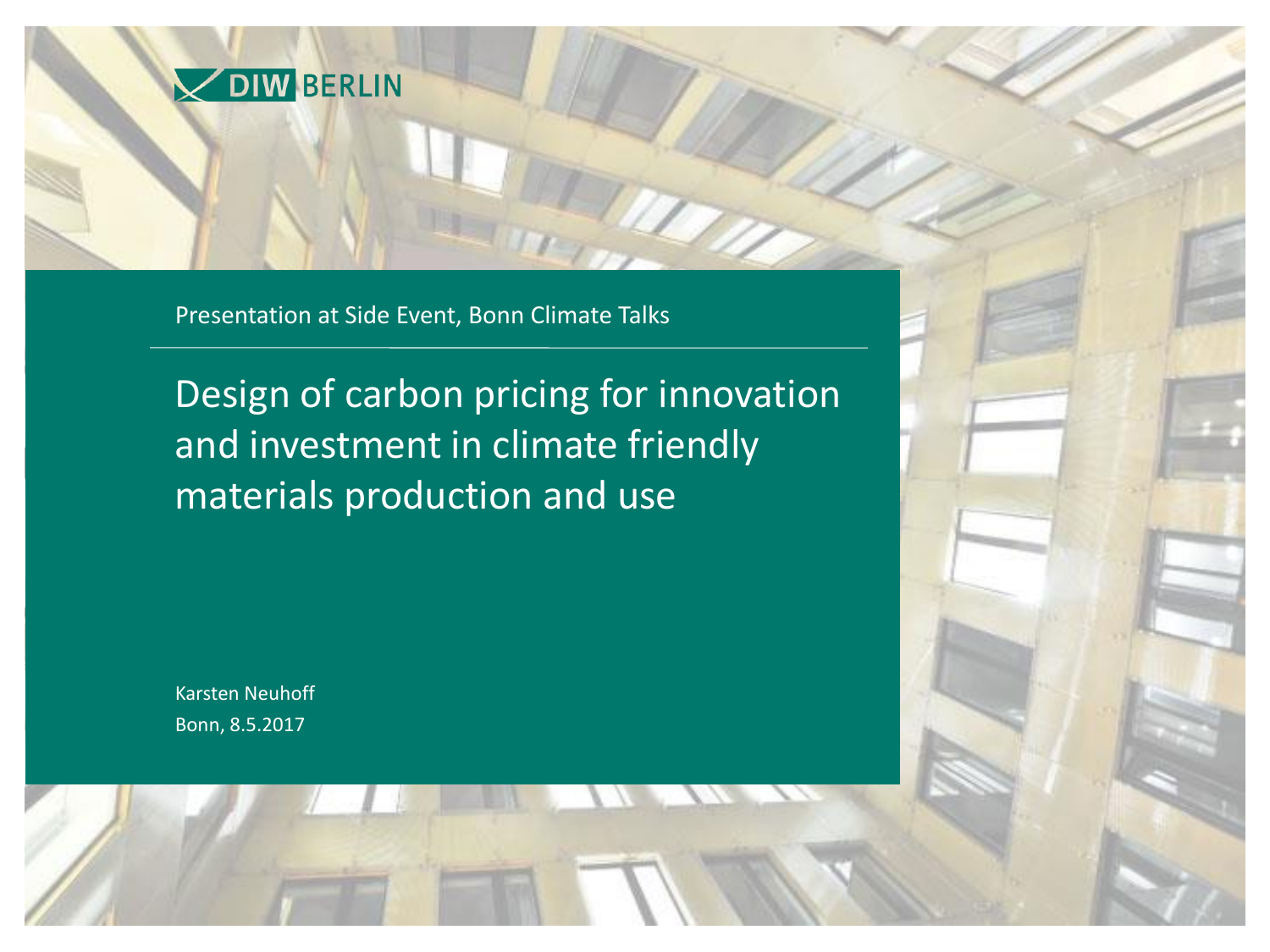

Presentation at Side Event, Bonn Climate Talks

Design of carbon pricing for innovation and investment in climate friendly materials production and use

Karsten Neuhoff Bonn, 8.5.2017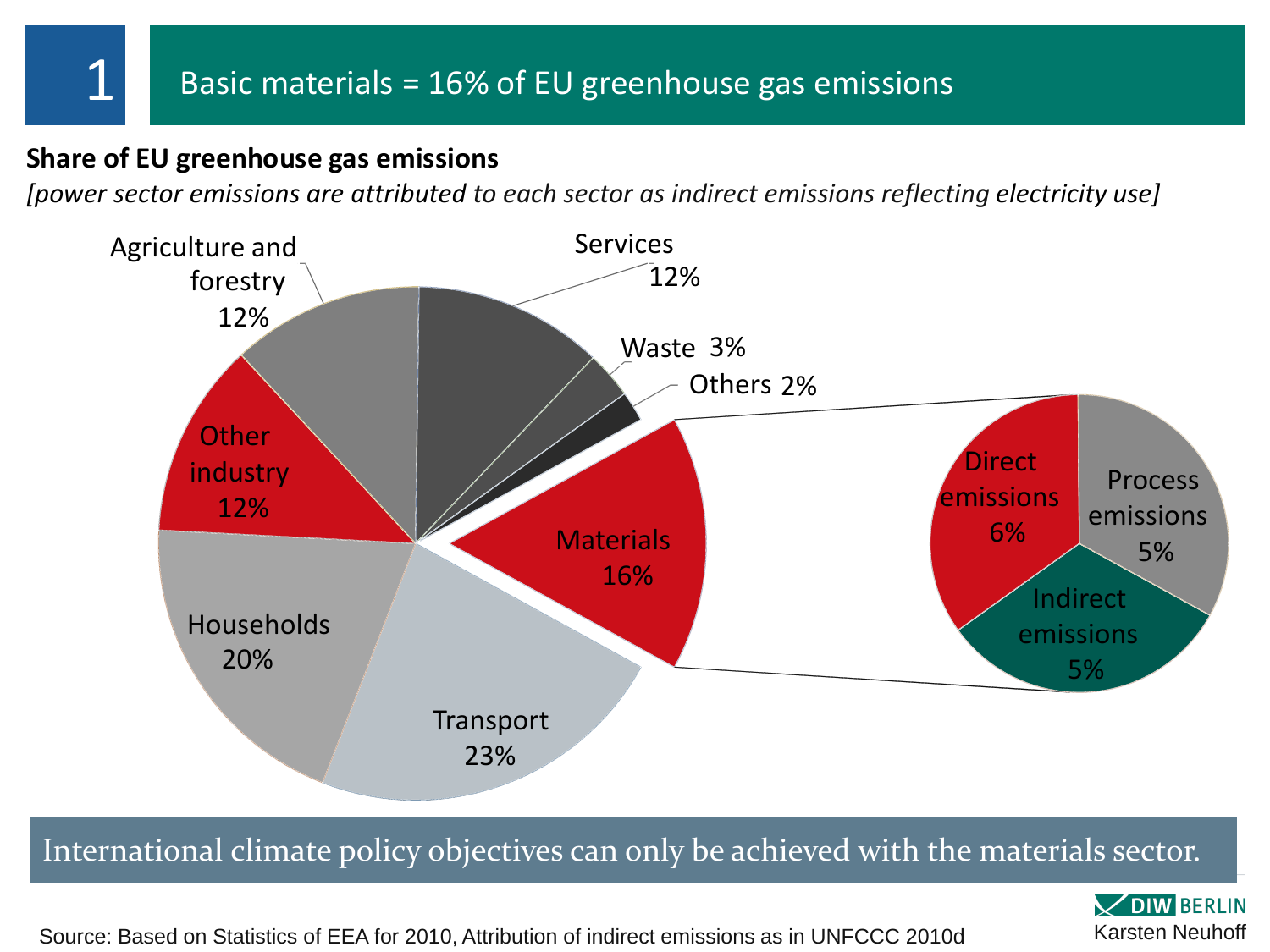#### Basic materials =  $16\%$  of EU greenhouse gas emissions

#### **Share of EU greenhouse gas emissions**

*[power sector emissions are attributed to each sector as indirect emissions reflecting electricity use]*



International climate policy objectives can only be achieved with the materials sector.

**VDIW BERLIN** 

Source: Based on Statistics of EEA for 2010, Attribution of indirect emissions as in UNFCCC 2010d Karsten Neuhoff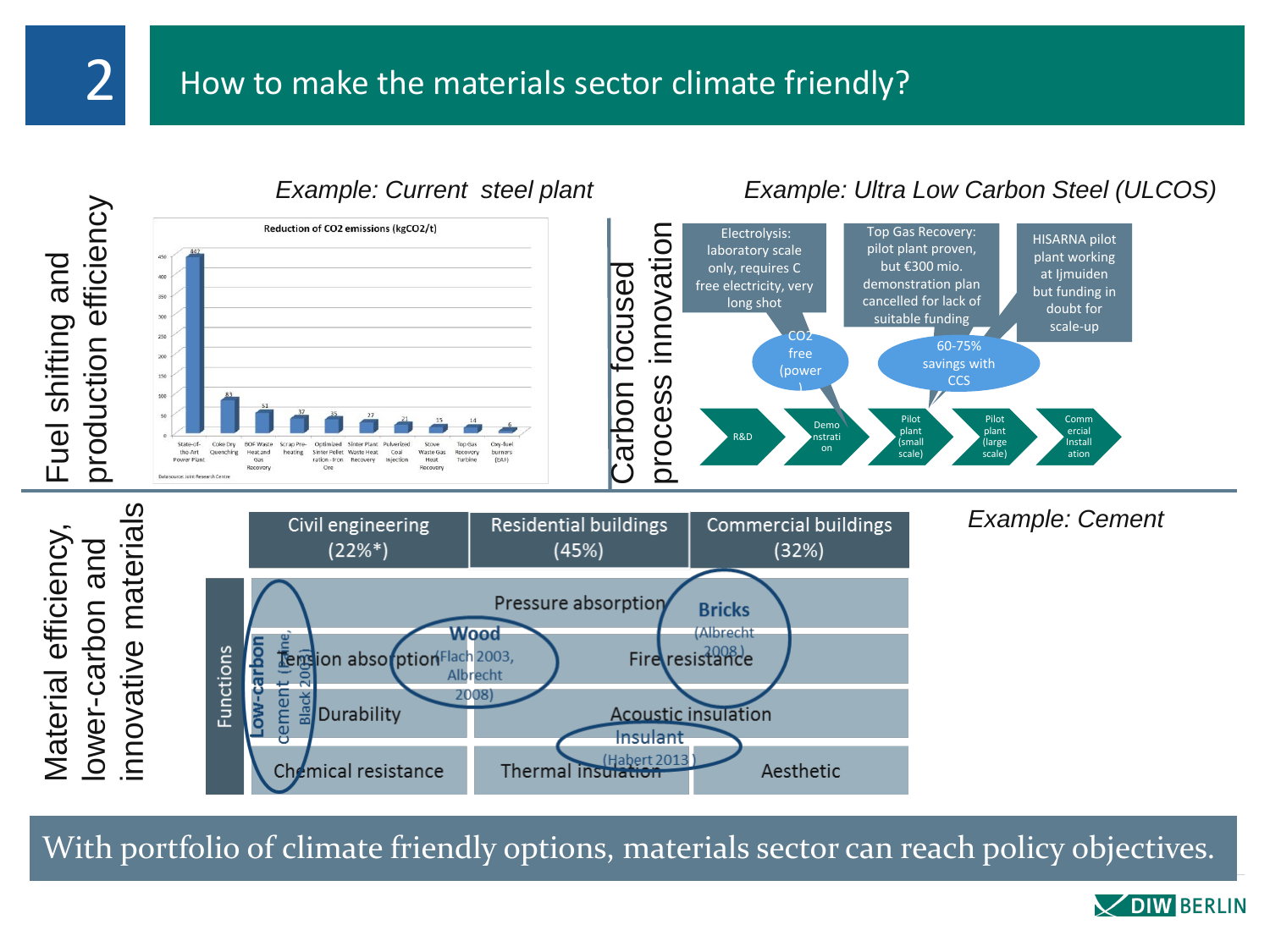

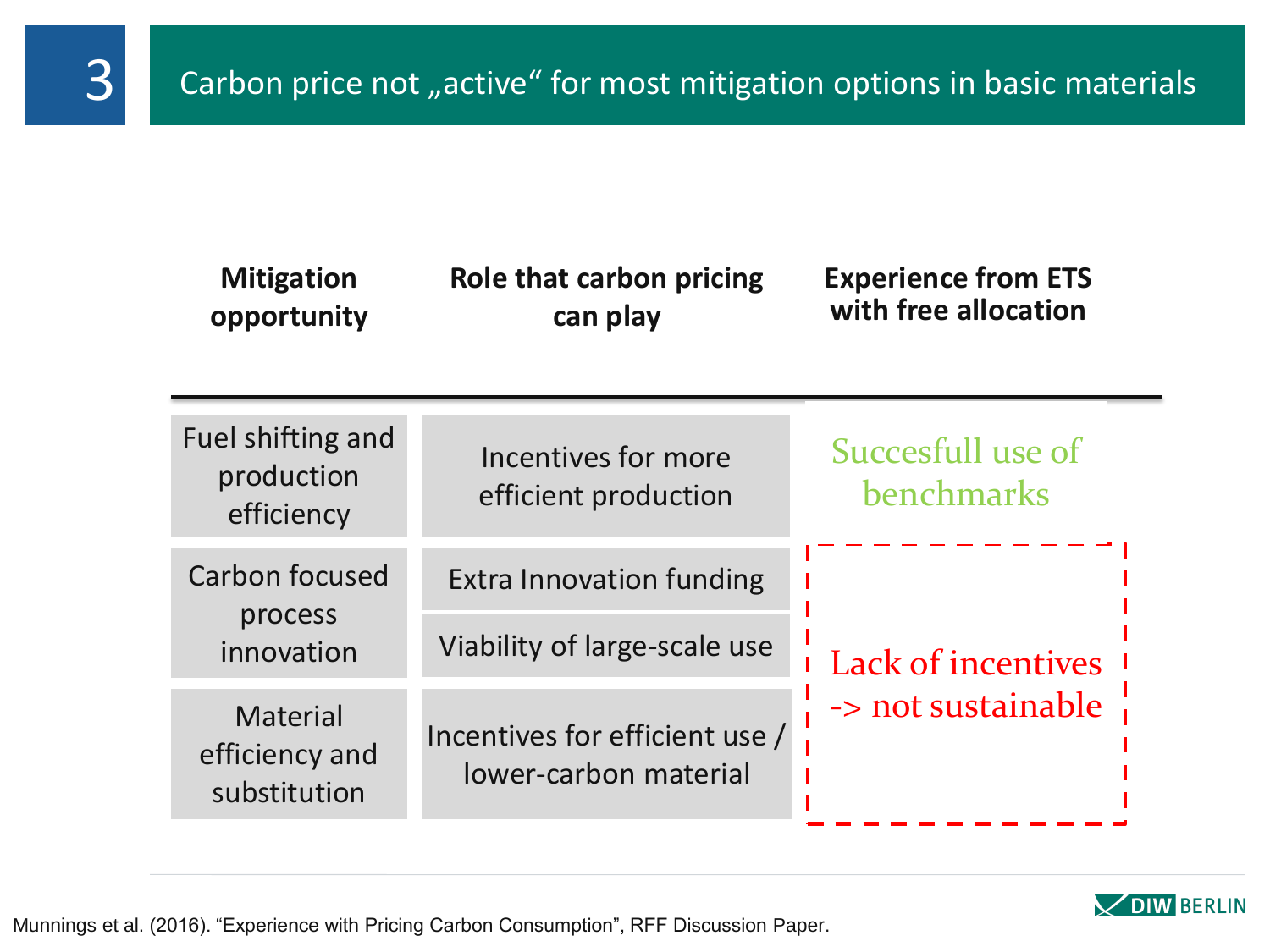| <b>Mitigation</b><br>opportunity                  | <b>Role that carbon pricing</b><br>can play             | <b>Experience from ETS</b><br>with free allocation |
|---------------------------------------------------|---------------------------------------------------------|----------------------------------------------------|
| Fuel shifting and<br>production<br>efficiency     | Incentives for more<br>efficient production             | Succesfull use of<br><b>benchmarks</b>             |
| Carbon focused<br>process<br>innovation           | <b>Extra Innovation funding</b>                         | <b>Lack of incentives</b><br>-> not sustainable    |
|                                                   | Viability of large-scale use                            |                                                    |
| <b>Material</b><br>efficiency and<br>substitution | Incentives for efficient use /<br>lower-carbon material |                                                    |



Munnings et al. (2016). "Experience with Pricing Carbon Consumption", RFF Discussion Paper.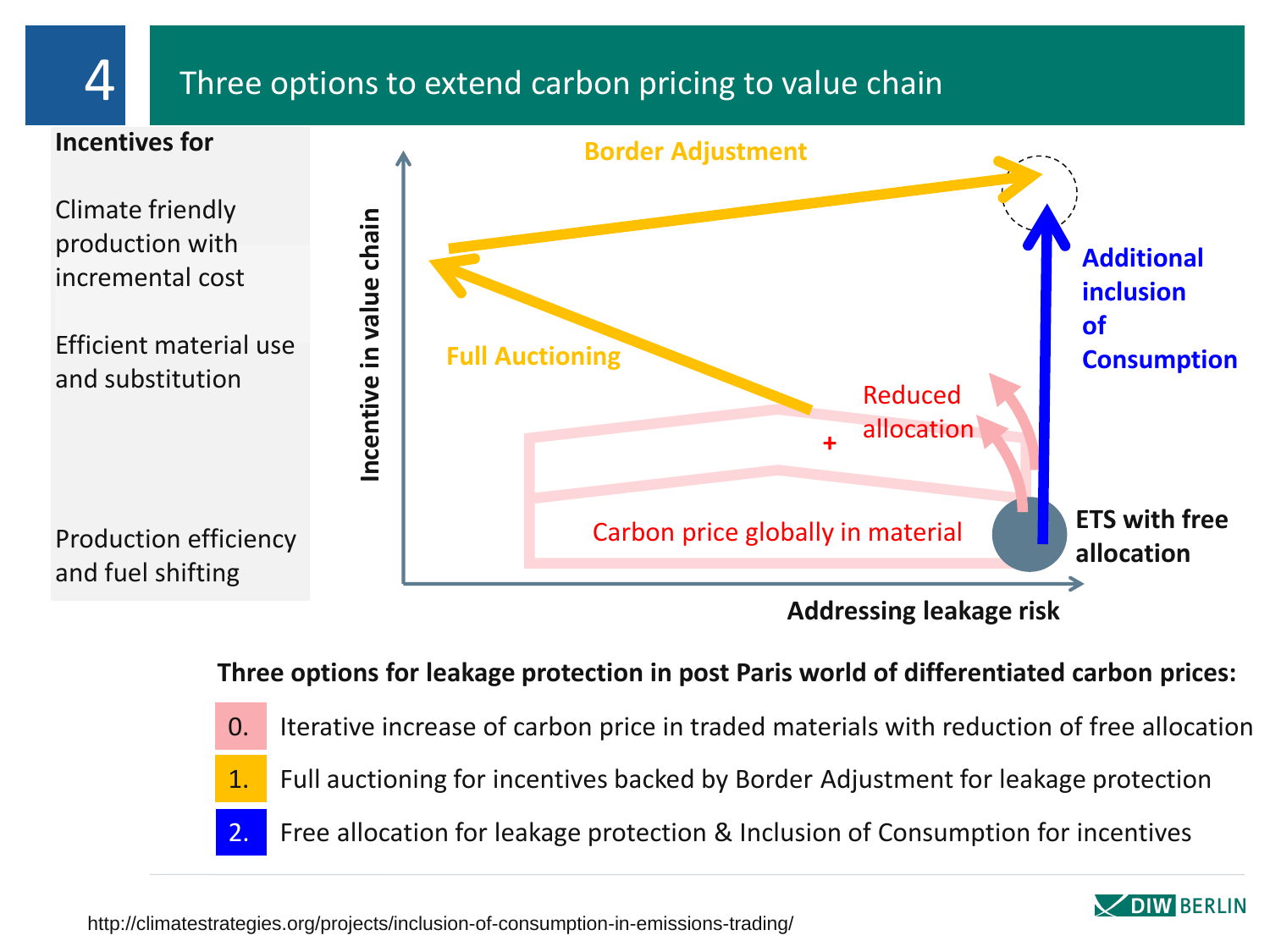# 4 Three options to extend carbon pricing to value chain



**Three options for leakage protection in post Paris world of differentiated carbon prices:**

0. Iterative increase of carbon price in traded materials with reduction of free allocation 1. Full auctioning for incentives backed by Border Adjustment for leakage protection 2. Free allocation for leakage protection & Inclusion of Consumption for incentives

http://climatestrategies.org/projects/inclusion-of-consumption-in-emissions-trading/

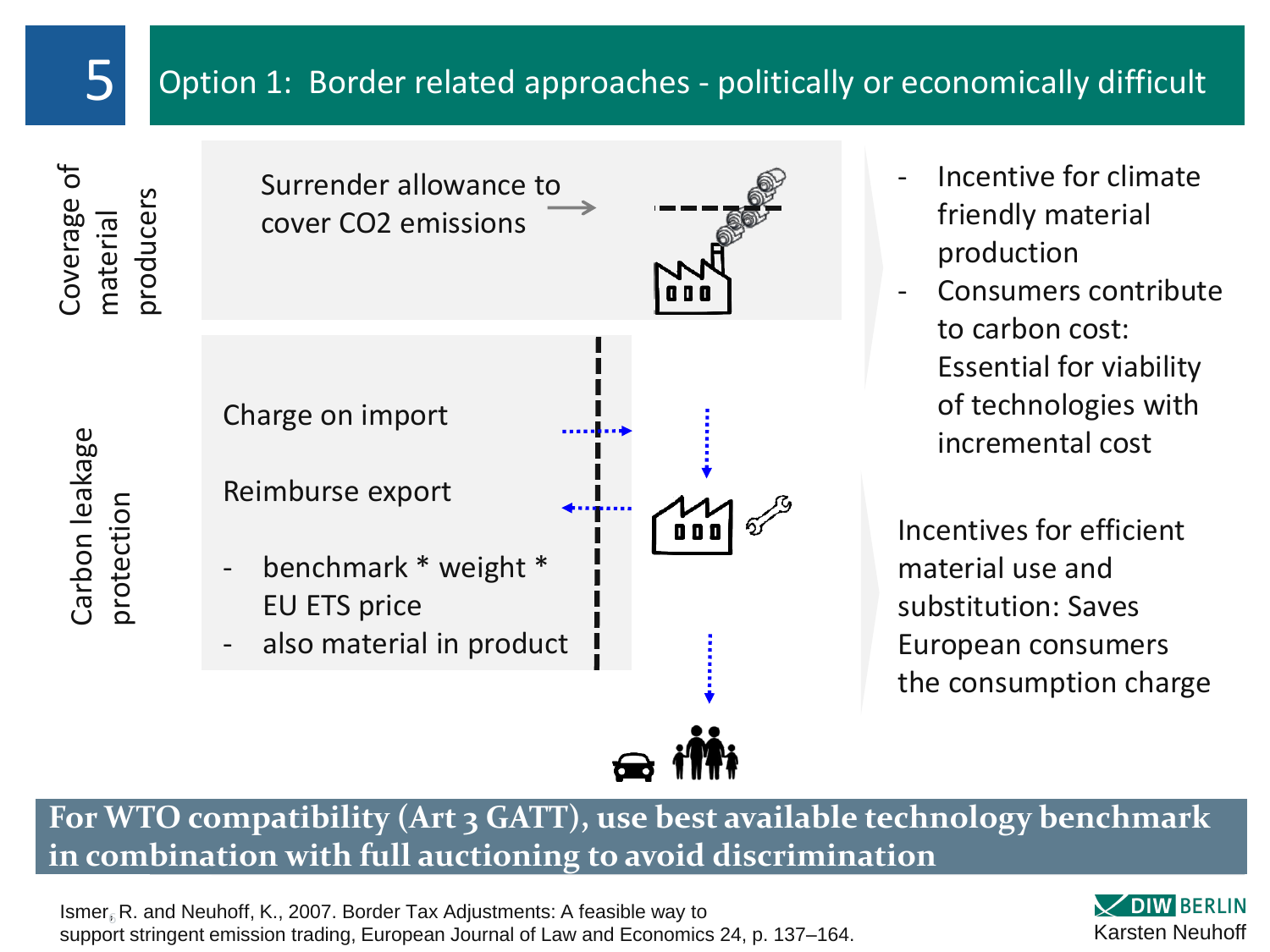# $\overline{5}$  Option 1: Border related approaches - politically or economically difficult

Coverage of material producers

Carbon leakage

Carbon leakage

protection



- Incentive for climate friendly material production
- Consumers contribute to carbon cost: Essential for viability of technologies with incremental cost

Incentives for efficient material use and substitution: Saves European consumers the consumption charge

**For WTO compatibility (Art 3 GATT), use best available technology benchmark in combination with full auctioning to avoid discrimination**

Ismer $_{\bar{\textit{b}}}$ R. and Neuhoff, K., 2007. Border Tax Adjustments: A feasible way to support stringent emission trading, European Journal of Law and Economics 24, p. 137–164.

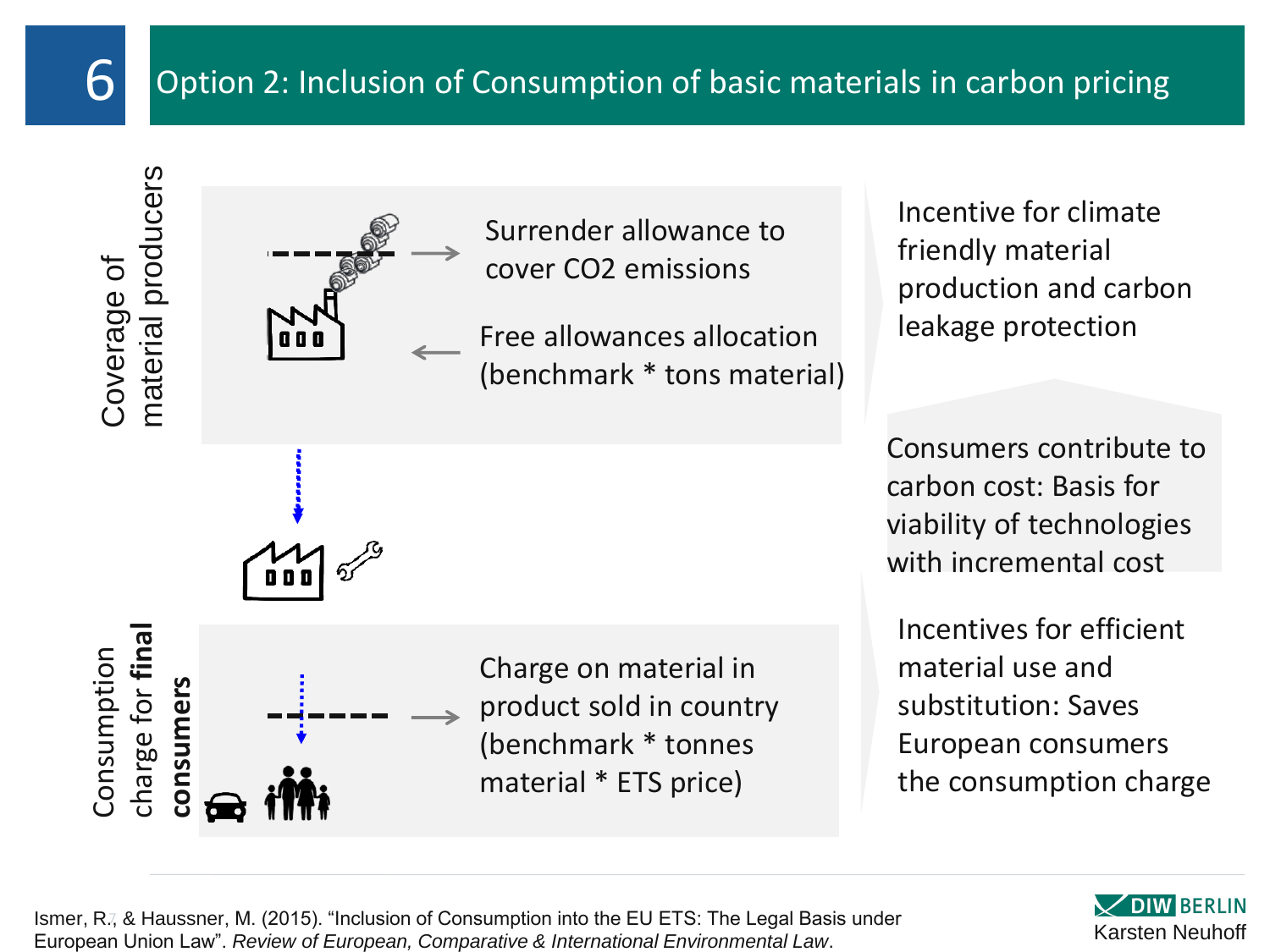

## $\mathbf{6}$  Option 2: Inclusion of Consumption of basic materials in carbon pricing

Coverage of<br>material producers

Consumption<br>charge for **fina** charge for **final** 

**consumers**

consumers



Surrender allowance to cover CO2 emissions

Free allowances allocation (benchmark \* tons material)

Charge on material in

(benchmark \* tonnes

material \* ETS price)

product sold in country

Incentive for climate friendly material production and carbon leakage protection

Consumers contribute to carbon cost: Basis for viability of technologies with incremental cost

Incentives for efficient material use and substitution: Saves European consumers the consumption charge



Ismer, R., & Haussner, M. (2015). "Inclusion of Consumption into the EU ETS: The Legal Basis under European Union Law". *Review of European, Comparative & International Environmental Law*.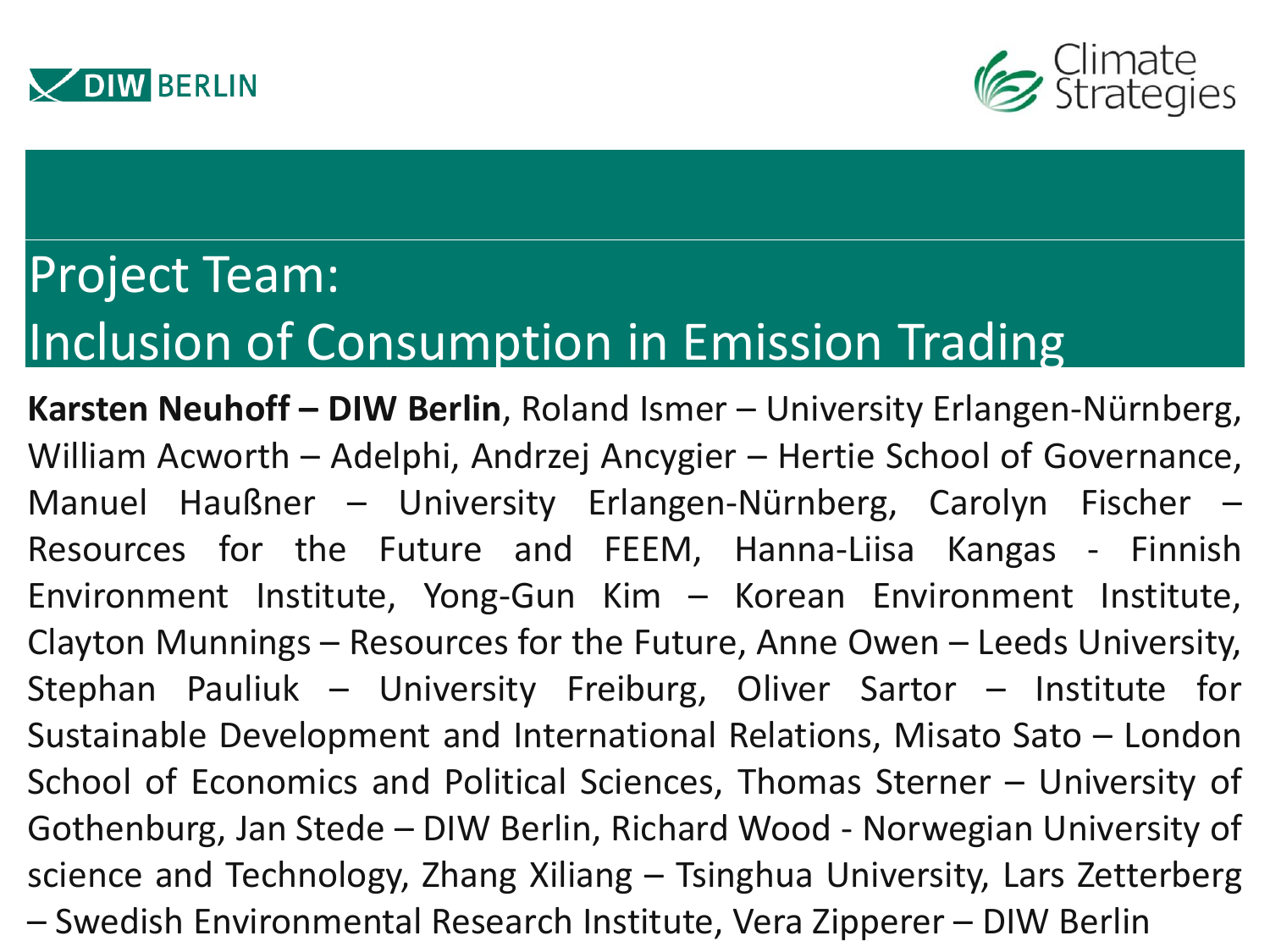



# Project Team: Inclusion of Consumption in Emission Trading

**Karsten Neuhoff – DIW Berlin**, Roland Ismer – University Erlangen-Nürnberg, William Acworth – Adelphi, Andrzej Ancygier – Hertie School of Governance, Manuel Haußner – University Erlangen-Nürnberg, Carolyn Fischer – Resources for the Future and FEEM, Hanna-Liisa Kangas - Finnish Environment Institute, Yong-Gun Kim – Korean Environment Institute, Clayton Munnings – Resources for the Future, Anne Owen – Leeds University, Stephan Pauliuk – University Freiburg, Oliver Sartor – Institute for Sustainable Development and International Relations, Misato Sato – London School of Economics and Political Sciences, Thomas Sterner – University of Gothenburg, Jan Stede – DIW Berlin, Richard Wood - Norwegian University of science and Technology, Zhang Xiliang – Tsinghua University, Lars Zetterberg – Swedish Environmental Research Institute, Vera Zipperer – DIW Berlin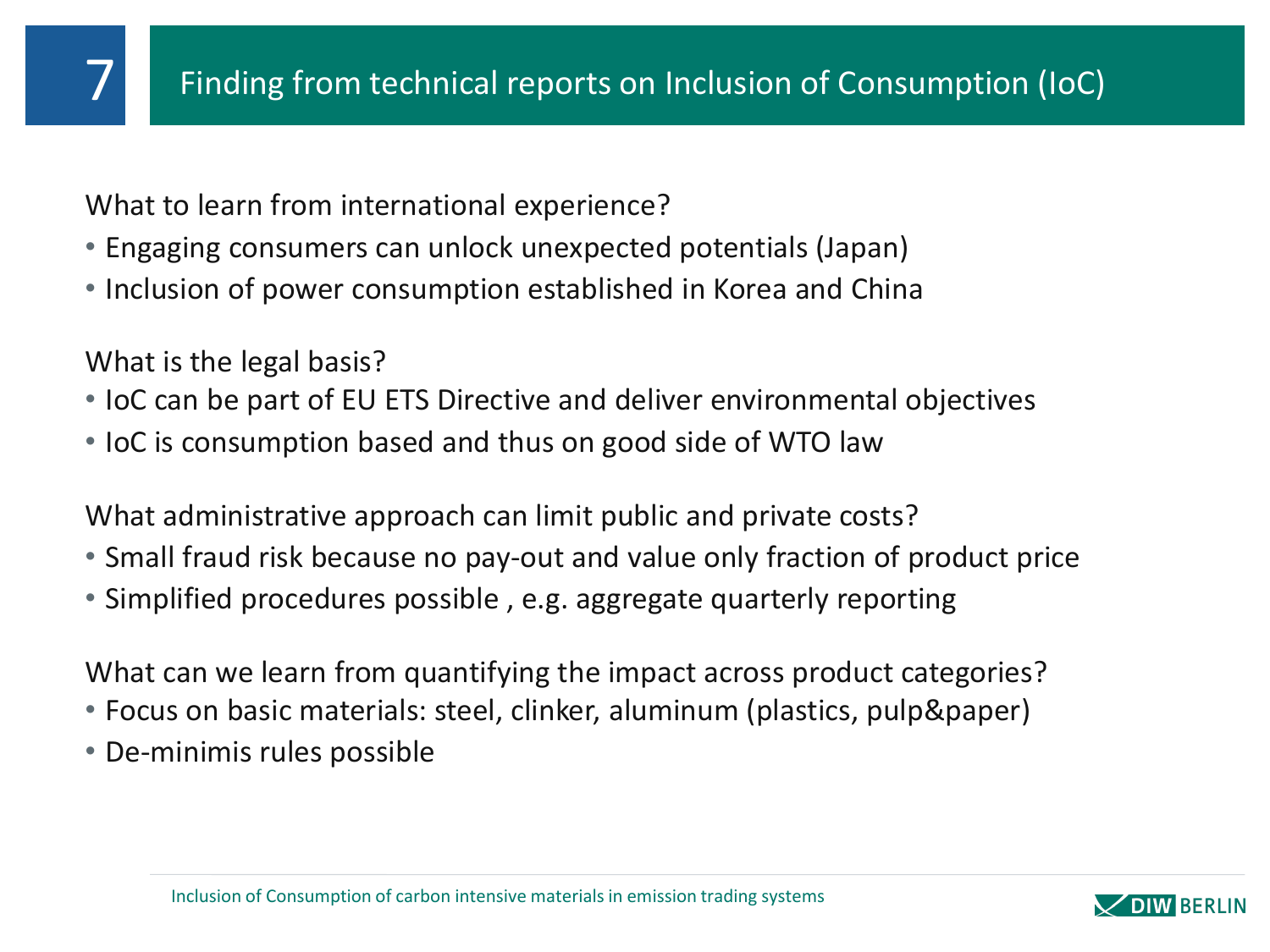What to learn from international experience?

- Engaging consumers can unlock unexpected potentials (Japan)
- Inclusion of power consumption established in Korea and China

What is the legal basis?

- IoC can be part of EU ETS Directive and deliver environmental objectives
- IoC is consumption based and thus on good side of WTO law

What administrative approach can limit public and private costs?

- Small fraud risk because no pay-out and value only fraction of product price
- Simplified procedures possible , e.g. aggregate quarterly reporting

What can we learn from quantifying the impact across product categories?

- Focus on basic materials: steel, clinker, aluminum (plastics, pulp&paper)
- De-minimis rules possible

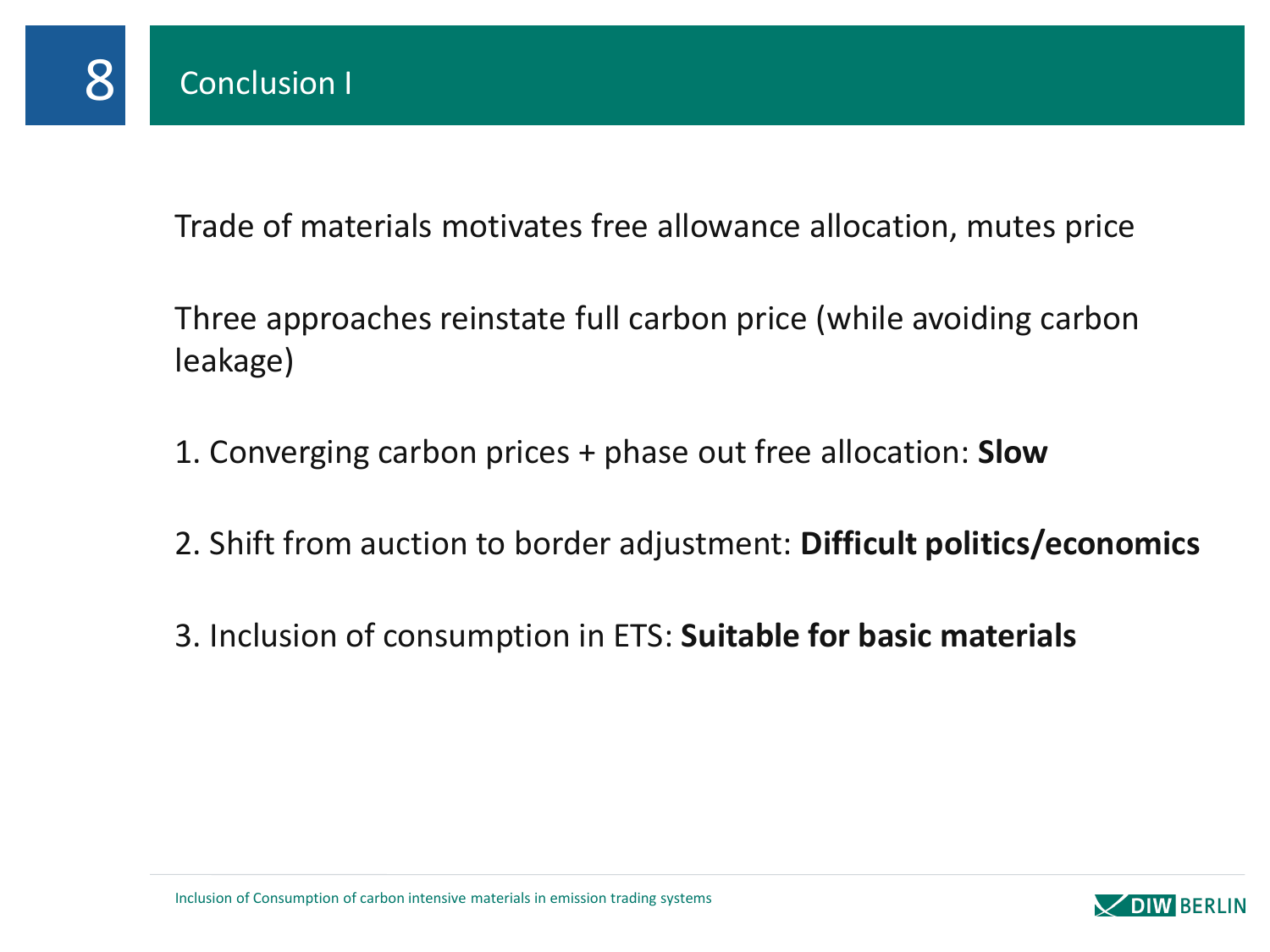

Trade of materials motivates free allowance allocation, mutes price

Three approaches reinstate full carbon price (while avoiding carbon leakage)

- 1. Converging carbon prices + phase out free allocation: **Slow**
- 2. Shift from auction to border adjustment: **Difficult politics/economics**
- 3. Inclusion of consumption in ETS: **Suitable for basic materials**